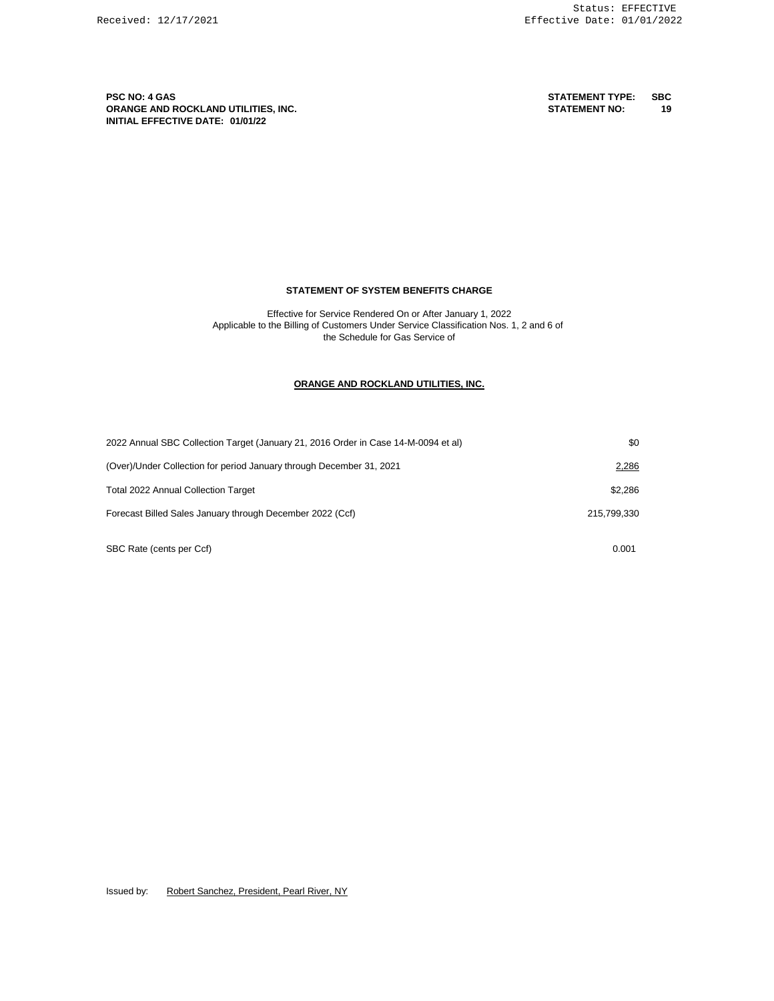**PSC NO: 4 GAS STATEMENT TYPE: SBC ORANGE AND ROCKLAND UTILITIES, INC. STATEMENT NO: 19 INITIAL EFFECTIVE DATE: 01/01/22**

#### **STATEMENT OF SYSTEM BENEFITS CHARGE**

Effective for Service Rendered On or After January 1, 2022 Applicable to the Billing of Customers Under Service Classification Nos. 1, 2 and 6 of the Schedule for Gas Service of

#### **ORANGE AND ROCKLAND UTILITIES, INC.**

| 2022 Annual SBC Collection Target (January 21, 2016 Order in Case 14-M-0094 et al) | \$0         |
|------------------------------------------------------------------------------------|-------------|
| (Over)/Under Collection for period January through December 31, 2021               | 2,286       |
| <b>Total 2022 Annual Collection Target</b>                                         | \$2.286     |
| Forecast Billed Sales January through December 2022 (Ccf)                          | 215.799.330 |
| SBC Rate (cents per Ccf)                                                           | 0.001       |

Issued by: Robert Sanchez, President, Pearl River, NY